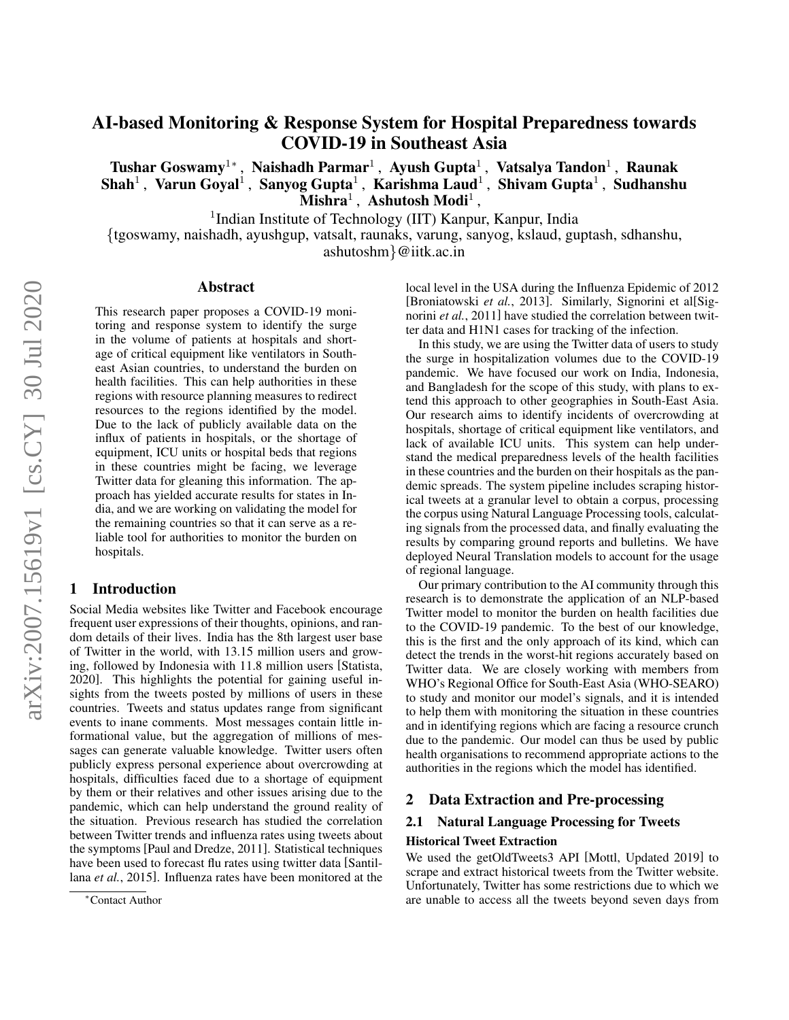# AI-based Monitoring & Response System for Hospital Preparedness towards COVID-19 in Southeast Asia

Tushar Goswamy<sup>1</sup>\*, Naishadh Parmar<sup>1</sup>, Ayush Gupta<sup>1</sup>, Vatsalya Tandon<sup>1</sup>, Raunak Shah<sup>1</sup>, Varun Goyal<sup>1</sup>, Sanyog Gupta<sup>1</sup>, Karishma Laud<sup>1</sup>, Shivam Gupta<sup>1</sup>, Sudhanshu  $\tilde{\mathbf{M}}$ ishra $^1$ , Ashutosh Modi<sup>1</sup>,

<sup>1</sup>Indian Institute of Technology (IIT) Kanpur, Kanpur, India

{tgoswamy, naishadh, ayushgup, vatsalt, raunaks, varung, sanyog, kslaud, guptash, sdhanshu, ashutoshm}@iitk.ac.in

#### Abstract

This research paper proposes a COVID-19 monitoring and response system to identify the surge in the volume of patients at hospitals and shortage of critical equipment like ventilators in Southeast Asian countries, to understand the burden on health facilities. This can help authorities in these regions with resource planning measures to redirect resources to the regions identified by the model. Due to the lack of publicly available data on the influx of patients in hospitals, or the shortage of equipment, ICU units or hospital beds that regions in these countries might be facing, we leverage Twitter data for gleaning this information. The approach has yielded accurate results for states in India, and we are working on validating the model for the remaining countries so that it can serve as a reliable tool for authorities to monitor the burden on hospitals.

#### 1 Introduction

Social Media websites like Twitter and Facebook encourage frequent user expressions of their thoughts, opinions, and random details of their lives. India has the 8th largest user base of Twitter in the world, with 13.15 million users and growing, followed by Indonesia with 11.8 million users [\[Statista,](#page-4-0) [2020\]](#page-4-0). This highlights the potential for gaining useful insights from the tweets posted by millions of users in these countries. Tweets and status updates range from significant events to inane comments. Most messages contain little informational value, but the aggregation of millions of messages can generate valuable knowledge. Twitter users often publicly express personal experience about overcrowding at hospitals, difficulties faced due to a shortage of equipment by them or their relatives and other issues arising due to the pandemic, which can help understand the ground reality of the situation. Previous research has studied the correlation between Twitter trends and influenza rates using tweets about the symptoms [\[Paul and Dredze, 2011\]](#page-4-1). Statistical techniques have been used to forecast flu rates using twitter data [\[Santil](#page-4-2)lana *et al.*[, 2015\]](#page-4-2). Influenza rates have been monitored at the local level in the USA during the Influenza Epidemic of 2012 [\[Broniatowski](#page-3-0) *et al.*, 2013]. Similarly, Signorini et al[\[Sig](#page-4-3)norini *et al.*[, 2011\]](#page-4-3) have studied the correlation between twitter data and H1N1 cases for tracking of the infection.

In this study, we are using the Twitter data of users to study the surge in hospitalization volumes due to the COVID-19 pandemic. We have focused our work on India, Indonesia, and Bangladesh for the scope of this study, with plans to extend this approach to other geographies in South-East Asia. Our research aims to identify incidents of overcrowding at hospitals, shortage of critical equipment like ventilators, and lack of available ICU units. This system can help understand the medical preparedness levels of the health facilities in these countries and the burden on their hospitals as the pandemic spreads. The system pipeline includes scraping historical tweets at a granular level to obtain a corpus, processing the corpus using Natural Language Processing tools, calculating signals from the processed data, and finally evaluating the results by comparing ground reports and bulletins. We have deployed Neural Translation models to account for the usage of regional language.

Our primary contribution to the AI community through this research is to demonstrate the application of an NLP-based Twitter model to monitor the burden on health facilities due to the COVID-19 pandemic. To the best of our knowledge, this is the first and the only approach of its kind, which can detect the trends in the worst-hit regions accurately based on Twitter data. We are closely working with members from WHO's Regional Office for South-East Asia (WHO-SEARO) to study and monitor our model's signals, and it is intended to help them with monitoring the situation in these countries and in identifying regions which are facing a resource crunch due to the pandemic. Our model can thus be used by public health organisations to recommend appropriate actions to the authorities in the regions which the model has identified.

# 2 Data Extraction and Pre-processing

# 2.1 Natural Language Processing for Tweets Historical Tweet Extraction

We used the getOldTweets3 API [\[Mottl, Updated 2019\]](#page-4-4) to scrape and extract historical tweets from the Twitter website. Unfortunately, Twitter has some restrictions due to which we are unable to access all the tweets beyond seven days from

<sup>∗</sup>Contact Author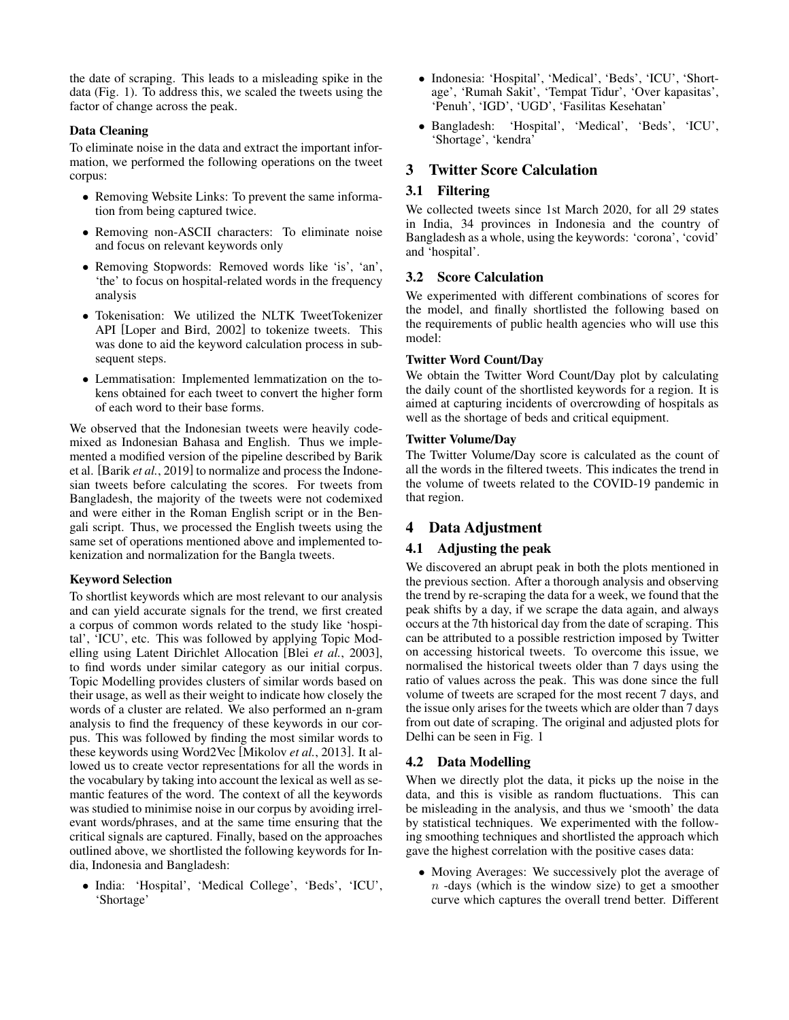the date of scraping. This leads to a misleading spike in the data (Fig. [1\)](#page-2-0). To address this, we scaled the tweets using the factor of change across the peak.

## Data Cleaning

To eliminate noise in the data and extract the important information, we performed the following operations on the tweet corpus:

- Removing Website Links: To prevent the same information from being captured twice.
- Removing non-ASCII characters: To eliminate noise and focus on relevant keywords only
- Removing Stopwords: Removed words like 'is', 'an', 'the' to focus on hospital-related words in the frequency analysis
- Tokenisation: We utilized the NLTK TweetTokenizer API [\[Loper and Bird, 2002\]](#page-4-5) to tokenize tweets. This was done to aid the keyword calculation process in subsequent steps.
- Lemmatisation: Implemented lemmatization on the tokens obtained for each tweet to convert the higher form of each word to their base forms.

We observed that the Indonesian tweets were heavily codemixed as Indonesian Bahasa and English. Thus we implemented a modified version of the pipeline described by Barik et al. [Barik *et al.*[, 2019\]](#page-3-1) to normalize and process the Indonesian tweets before calculating the scores. For tweets from Bangladesh, the majority of the tweets were not codemixed and were either in the Roman English script or in the Bengali script. Thus, we processed the English tweets using the same set of operations mentioned above and implemented tokenization and normalization for the Bangla tweets.

#### Keyword Selection

To shortlist keywords which are most relevant to our analysis and can yield accurate signals for the trend, we first created a corpus of common words related to the study like 'hospital', 'ICU', etc. This was followed by applying Topic Modelling using Latent Dirichlet Allocation [Blei *et al.*[, 2003\]](#page-3-2), to find words under similar category as our initial corpus. Topic Modelling provides clusters of similar words based on their usage, as well as their weight to indicate how closely the words of a cluster are related. We also performed an n-gram analysis to find the frequency of these keywords in our corpus. This was followed by finding the most similar words to these keywords using Word2Vec [\[Mikolov](#page-4-6) *et al.*, 2013]. It allowed us to create vector representations for all the words in the vocabulary by taking into account the lexical as well as semantic features of the word. The context of all the keywords was studied to minimise noise in our corpus by avoiding irrelevant words/phrases, and at the same time ensuring that the critical signals are captured. Finally, based on the approaches outlined above, we shortlisted the following keywords for India, Indonesia and Bangladesh:

• India: 'Hospital', 'Medical College', 'Beds', 'ICU', 'Shortage'

- Indonesia: 'Hospital', 'Medical', 'Beds', 'ICU', 'Shortage', 'Rumah Sakit', 'Tempat Tidur', 'Over kapasitas', 'Penuh', 'IGD', 'UGD', 'Fasilitas Kesehatan'
- Bangladesh: 'Hospital', 'Medical', 'Beds', 'ICU', 'Shortage', 'kendra'

# 3 Twitter Score Calculation

## 3.1 Filtering

We collected tweets since 1st March 2020, for all 29 states in India, 34 provinces in Indonesia and the country of Bangladesh as a whole, using the keywords: 'corona', 'covid' and 'hospital'.

## 3.2 Score Calculation

We experimented with different combinations of scores for the model, and finally shortlisted the following based on the requirements of public health agencies who will use this model:

## Twitter Word Count/Day

We obtain the Twitter Word Count/Day plot by calculating the daily count of the shortlisted keywords for a region. It is aimed at capturing incidents of overcrowding of hospitals as well as the shortage of beds and critical equipment.

## Twitter Volume/Day

The Twitter Volume/Day score is calculated as the count of all the words in the filtered tweets. This indicates the trend in the volume of tweets related to the COVID-19 pandemic in that region.

# 4 Data Adjustment

## 4.1 Adjusting the peak

We discovered an abrupt peak in both the plots mentioned in the previous section. After a thorough analysis and observing the trend by re-scraping the data for a week, we found that the peak shifts by a day, if we scrape the data again, and always occurs at the 7th historical day from the date of scraping. This can be attributed to a possible restriction imposed by Twitter on accessing historical tweets. To overcome this issue, we normalised the historical tweets older than 7 days using the ratio of values across the peak. This was done since the full volume of tweets are scraped for the most recent 7 days, and the issue only arises for the tweets which are older than 7 days from out date of scraping. The original and adjusted plots for Delhi can be seen in Fig. [1](#page-2-0)

# 4.2 Data Modelling

When we directly plot the data, it picks up the noise in the data, and this is visible as random fluctuations. This can be misleading in the analysis, and thus we 'smooth' the data by statistical techniques. We experimented with the following smoothing techniques and shortlisted the approach which gave the highest correlation with the positive cases data:

• Moving Averages: We successively plot the average of  $n$  -days (which is the window size) to get a smoother curve which captures the overall trend better. Different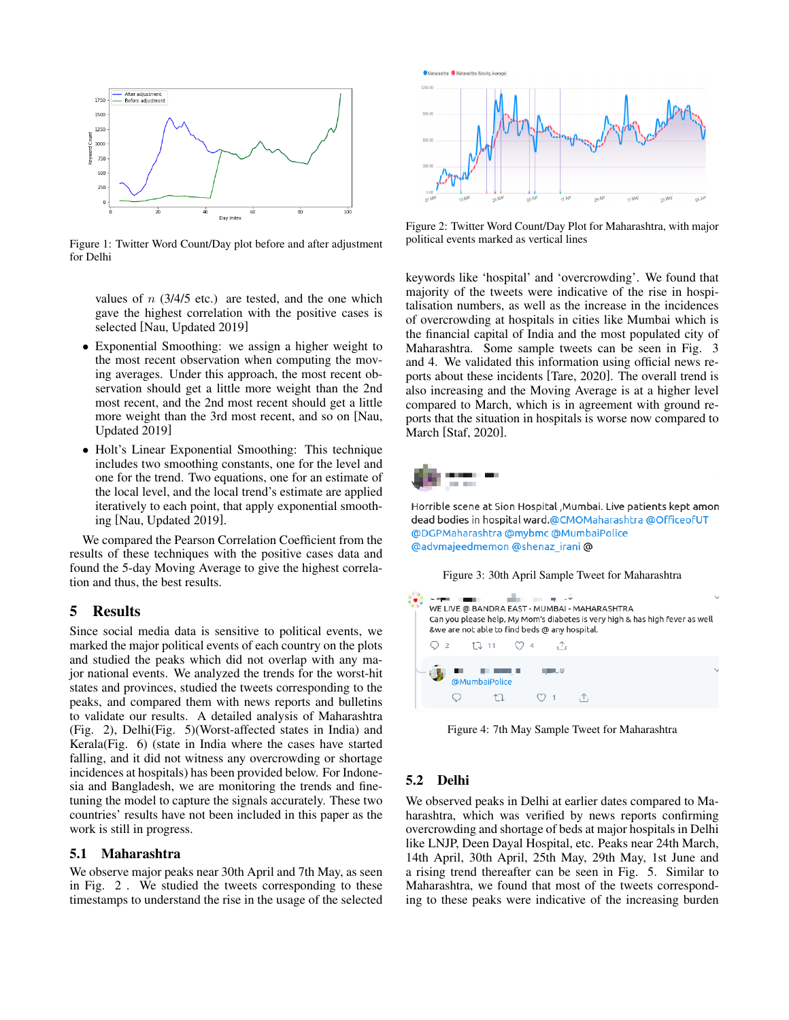<span id="page-2-0"></span>

Figure 1: Twitter Word Count/Day plot before and after adjustment for Delhi

values of  $n$  (3/4/5 etc.) are tested, and the one which gave the highest correlation with the positive cases is selected [\[Nau, Updated 2019\]](#page-4-7)

- Exponential Smoothing: we assign a higher weight to the most recent observation when computing the moving averages. Under this approach, the most recent observation should get a little more weight than the 2nd most recent, and the 2nd most recent should get a little more weight than the 3rd most recent, and so on [\[Nau,](#page-4-7) [Updated 2019\]](#page-4-7)
- Holt's Linear Exponential Smoothing: This technique includes two smoothing constants, one for the level and one for the trend. Two equations, one for an estimate of the local level, and the local trend's estimate are applied iteratively to each point, that apply exponential smoothing [\[Nau, Updated 2019\]](#page-4-7).

We compared the Pearson Correlation Coefficient from the results of these techniques with the positive cases data and found the 5-day Moving Average to give the highest correlation and thus, the best results.

## 5 Results

Since social media data is sensitive to political events, we marked the major political events of each country on the plots and studied the peaks which did not overlap with any major national events. We analyzed the trends for the worst-hit states and provinces, studied the tweets corresponding to the peaks, and compared them with news reports and bulletins to validate our results. A detailed analysis of Maharashtra (Fig. [2\)](#page-2-1), Delhi(Fig. [5\)](#page-3-3)(Worst-affected states in India) and Kerala(Fig. [6\)](#page-3-4) (state in India where the cases have started falling, and it did not witness any overcrowding or shortage incidences at hospitals) has been provided below. For Indonesia and Bangladesh, we are monitoring the trends and finetuning the model to capture the signals accurately. These two countries' results have not been included in this paper as the work is still in progress.

#### 5.1 Maharashtra

We observe major peaks near 30th April and 7th May, as seen in Fig. [2](#page-2-1) . We studied the tweets corresponding to these timestamps to understand the rise in the usage of the selected

<span id="page-2-1"></span>

Figure 2: Twitter Word Count/Day Plot for Maharashtra, with major political events marked as vertical lines

keywords like 'hospital' and 'overcrowding'. We found that majority of the tweets were indicative of the rise in hospitalisation numbers, as well as the increase in the incidences of overcrowding at hospitals in cities like Mumbai which is the financial capital of India and the most populated city of Maharashtra. Some sample tweets can be seen in Fig. [3](#page-2-2) and [4.](#page-2-2) We validated this information using official news reports about these incidents [\[Tare, 2020\]](#page-4-8). The overall trend is also increasing and the Moving Average is at a higher level compared to March, which is in agreement with ground reports that the situation in hospitals is worse now compared to March [\[Staf, 2020\]](#page-4-9).

<span id="page-2-2"></span>

Horrible scene at Sion Hospital , Mumbai. Live patients kept amon dead bodies in hospital ward.@CMOMaharashtra @OfficeofUT @DGPMaharashtra @mybmc @MumbaiPolice @advmajeedmemon @shenaz\_irani @

Figure 3: 30th April Sample Tweet for Maharashtra



Figure 4: 7th May Sample Tweet for Maharashtra

#### 5.2 Delhi

We observed peaks in Delhi at earlier dates compared to Maharashtra, which was verified by news reports confirming overcrowding and shortage of beds at major hospitals in Delhi like LNJP, Deen Dayal Hospital, etc. Peaks near 24th March, 14th April, 30th April, 25th May, 29th May, 1st June and a rising trend thereafter can be seen in Fig. [5.](#page-3-3) Similar to Maharashtra, we found that most of the tweets corresponding to these peaks were indicative of the increasing burden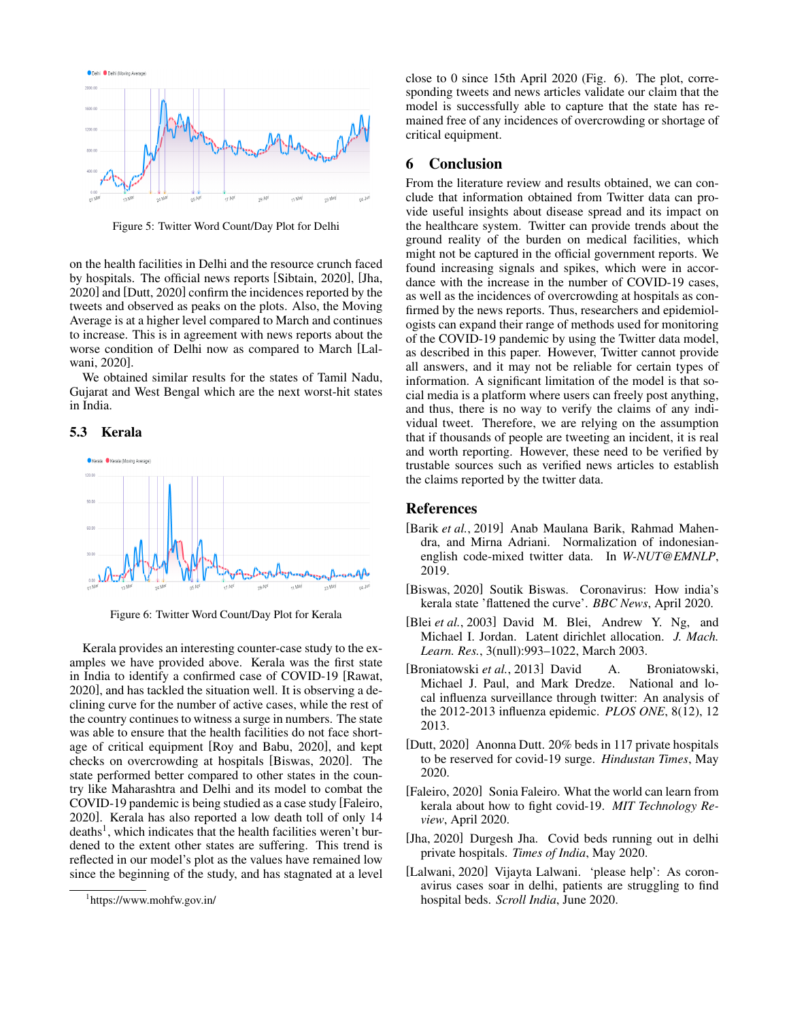<span id="page-3-3"></span>

Figure 5: Twitter Word Count/Day Plot for Delhi

on the health facilities in Delhi and the resource crunch faced by hospitals. The official news reports [\[Sibtain, 2020\]](#page-4-10), [\[Jha,](#page-3-5) [2020\]](#page-3-5) and [\[Dutt, 2020\]](#page-3-6) confirm the incidences reported by the tweets and observed as peaks on the plots. Also, the Moving Average is at a higher level compared to March and continues to increase. This is in agreement with news reports about the worse condition of Delhi now as compared to March [\[Lal](#page-3-7)[wani, 2020\]](#page-3-7).

We obtained similar results for the states of Tamil Nadu, Gujarat and West Bengal which are the next worst-hit states in India.

#### 5.3 Kerala

<span id="page-3-4"></span>

Figure 6: Twitter Word Count/Day Plot for Kerala

Kerala provides an interesting counter-case study to the examples we have provided above. Kerala was the first state in India to identify a confirmed case of COVID-19 [\[Rawat,](#page-4-11) [2020\]](#page-4-11), and has tackled the situation well. It is observing a declining curve for the number of active cases, while the rest of the country continues to witness a surge in numbers. The state was able to ensure that the health facilities do not face shortage of critical equipment [\[Roy and Babu, 2020\]](#page-4-12), and kept checks on overcrowding at hospitals [\[Biswas, 2020\]](#page-3-8). The state performed better compared to other states in the country like Maharashtra and Delhi and its model to combat the COVID-19 pandemic is being studied as a case study [\[Faleiro,](#page-3-9) [2020\]](#page-3-9). Kerala has also reported a low death toll of only 14 deaths<sup>[1](#page-3-10)</sup>, which indicates that the health facilities weren't burdened to the extent other states are suffering. This trend is reflected in our model's plot as the values have remained low since the beginning of the study, and has stagnated at a level close to 0 since 15th April 2020 (Fig. [6\)](#page-3-4). The plot, corresponding tweets and news articles validate our claim that the model is successfully able to capture that the state has remained free of any incidences of overcrowding or shortage of critical equipment.

#### 6 Conclusion

From the literature review and results obtained, we can conclude that information obtained from Twitter data can provide useful insights about disease spread and its impact on the healthcare system. Twitter can provide trends about the ground reality of the burden on medical facilities, which might not be captured in the official government reports. We found increasing signals and spikes, which were in accordance with the increase in the number of COVID-19 cases, as well as the incidences of overcrowding at hospitals as confirmed by the news reports. Thus, researchers and epidemiologists can expand their range of methods used for monitoring of the COVID-19 pandemic by using the Twitter data model, as described in this paper. However, Twitter cannot provide all answers, and it may not be reliable for certain types of information. A significant limitation of the model is that social media is a platform where users can freely post anything, and thus, there is no way to verify the claims of any individual tweet. Therefore, we are relying on the assumption that if thousands of people are tweeting an incident, it is real and worth reporting. However, these need to be verified by trustable sources such as verified news articles to establish the claims reported by the twitter data.

#### References

- <span id="page-3-1"></span>[Barik *et al.*, 2019] Anab Maulana Barik, Rahmad Mahendra, and Mirna Adriani. Normalization of indonesianenglish code-mixed twitter data. In *W-NUT@EMNLP*, 2019.
- <span id="page-3-8"></span>[Biswas, 2020] Soutik Biswas. Coronavirus: How india's kerala state 'flattened the curve'. *BBC News*, April 2020.
- <span id="page-3-2"></span>[Blei *et al.*, 2003] David M. Blei, Andrew Y. Ng, and Michael I. Jordan. Latent dirichlet allocation. *J. Mach. Learn. Res.*, 3(null):993–1022, March 2003.
- <span id="page-3-0"></span>[Broniatowski *et al.*, 2013] David A. Broniatowski, Michael J. Paul, and Mark Dredze. National and local influenza surveillance through twitter: An analysis of the 2012-2013 influenza epidemic. *PLOS ONE*, 8(12), 12 2013.
- <span id="page-3-6"></span>[Dutt, 2020] Anonna Dutt. 20% beds in 117 private hospitals to be reserved for covid-19 surge. *Hindustan Times*, May 2020.
- <span id="page-3-9"></span>[Faleiro, 2020] Sonia Faleiro. What the world can learn from kerala about how to fight covid-19. *MIT Technology Review*, April 2020.
- <span id="page-3-5"></span>[Jha, 2020] Durgesh Jha. Covid beds running out in delhi private hospitals. *Times of India*, May 2020.
- <span id="page-3-7"></span>[Lalwani, 2020] Vijayta Lalwani. 'please help': As coronavirus cases soar in delhi, patients are struggling to find hospital beds. *Scroll India*, June 2020.

<span id="page-3-10"></span><sup>1</sup> https://www.mohfw.gov.in/